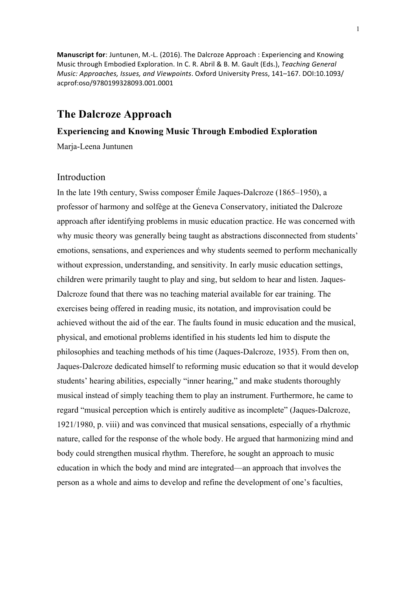**Manuscript for**: Juntunen, M.-L. (2016). The Dalcroze Approach : Experiencing and Knowing Music through Embodied Exploration. In C. R. Abril & B. M. Gault (Eds.), *Teaching General Music: Approaches, Issues, and Viewpoints*. Oxford University Press, 141–167. DOI:10.1093/ acprof:oso/9780199328093.001.0001

# **The Dalcroze Approach**

### **Experiencing and Knowing Music Through Embodied Exploration**

Marja-Leena Juntunen

### **Introduction**

In the late 19th century, Swiss composer Émile Jaques-Dalcroze (1865–1950), a professor of harmony and solfège at the Geneva Conservatory, initiated the Dalcroze approach after identifying problems in music education practice. He was concerned with why music theory was generally being taught as abstractions disconnected from students' emotions, sensations, and experiences and why students seemed to perform mechanically without expression, understanding, and sensitivity. In early music education settings, children were primarily taught to play and sing, but seldom to hear and listen. Jaques-Dalcroze found that there was no teaching material available for ear training. The exercises being offered in reading music, its notation, and improvisation could be achieved without the aid of the ear. The faults found in music education and the musical, physical, and emotional problems identified in his students led him to dispute the philosophies and teaching methods of his time (Jaques-Dalcroze, 1935). From then on, Jaques-Dalcroze dedicated himself to reforming music education so that it would develop students' hearing abilities, especially "inner hearing," and make students thoroughly musical instead of simply teaching them to play an instrument. Furthermore, he came to regard "musical perception which is entirely auditive as incomplete" (Jaques-Dalcroze, 1921/1980, p. viii) and was convinced that musical sensations, especially of a rhythmic nature, called for the response of the whole body. He argued that harmonizing mind and body could strengthen musical rhythm. Therefore, he sought an approach to music education in which the body and mind are integrated—an approach that involves the person as a whole and aims to develop and refine the development of one's faculties,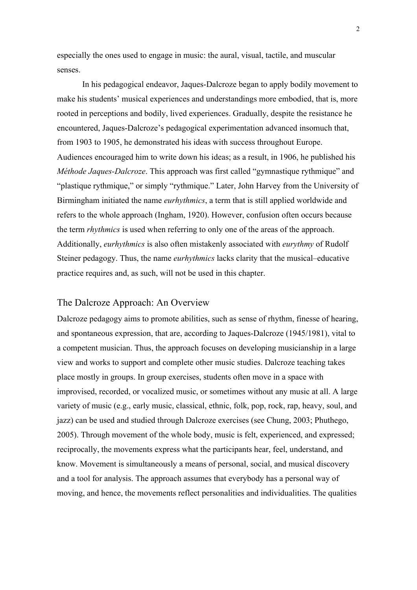especially the ones used to engage in music: the aural, visual, tactile, and muscular senses.

In his pedagogical endeavor, Jaques-Dalcroze began to apply bodily movement to make his students' musical experiences and understandings more embodied, that is, more rooted in perceptions and bodily, lived experiences. Gradually, despite the resistance he encountered, Jaques-Dalcroze's pedagogical experimentation advanced insomuch that, from 1903 to 1905, he demonstrated his ideas with success throughout Europe. Audiences encouraged him to write down his ideas; as a result, in 1906, he published his *Méthode Jaques-Dalcroze*. This approach was first called "gymnastique rythmique" and "plastique rythmique," or simply "rythmique." Later, John Harvey from the University of Birmingham initiated the name *eurhythmics*, a term that is still applied worldwide and refers to the whole approach (Ingham, 1920). However, confusion often occurs because the term *rhythmics* is used when referring to only one of the areas of the approach. Additionally, *eurhythmics* is also often mistakenly associated with *eurythmy* of Rudolf Steiner pedagogy. Thus, the name *eurhythmics* lacks clarity that the musical–educative practice requires and, as such, will not be used in this chapter.

# The Dalcroze Approach: An Overview

Dalcroze pedagogy aims to promote abilities, such as sense of rhythm, finesse of hearing, and spontaneous expression, that are, according to Jaques-Dalcroze (1945/1981), vital to a competent musician. Thus, the approach focuses on developing musicianship in a large view and works to support and complete other music studies. Dalcroze teaching takes place mostly in groups. In group exercises, students often move in a space with improvised, recorded, or vocalized music, or sometimes without any music at all. A large variety of music (e.g., early music, classical, ethnic, folk, pop, rock, rap, heavy, soul, and jazz) can be used and studied through Dalcroze exercises (see Chung, 2003; Phuthego, 2005). Through movement of the whole body, music is felt, experienced, and expressed; reciprocally, the movements express what the participants hear, feel, understand, and know. Movement is simultaneously a means of personal, social, and musical discovery and a tool for analysis. The approach assumes that everybody has a personal way of moving, and hence, the movements reflect personalities and individualities. The qualities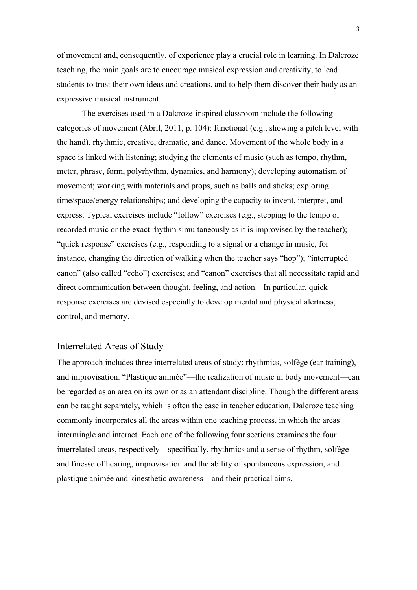of movement and, consequently, of experience play a crucial role in learning. In Dalcroze teaching, the main goals are to encourage musical expression and creativity, to lead students to trust their own ideas and creations, and to help them discover their body as an expressive musical instrument.

The exercises used in a Dalcroze-inspired classroom include the following categories of movement (Abril, 2011, p. 104): functional (e.g., showing a pitch level with the hand), rhythmic, creative, dramatic, and dance. Movement of the whole body in a space is linked with listening; studying the elements of music (such as tempo, rhythm, meter, phrase, form, polyrhythm, dynamics, and harmony); developing automatism of movement; working with materials and props, such as balls and sticks; exploring time/space/energy relationships; and developing the capacity to invent, interpret, and express. Typical exercises include "follow" exercises (e.g., stepping to the tempo of recorded music or the exact rhythm simultaneously as it is improvised by the teacher); "quick response" exercises (e.g., responding to a signal or a change in music, for instance, changing the direction of walking when the teacher says "hop"); "interrupted canon" (also called "echo") exercises; and "canon" exercises that all necessitate rapid and direct communication between thought, feeling, and action.<sup>1</sup> In particular, quickresponse exercises are devised especially to develop mental and physical alertness, control, and memory.

### Interrelated Areas of Study

The approach includes three interrelated areas of study: rhythmics, solfège (ear training), and improvisation. "Plastique animée"—the realization of music in body movement—can be regarded as an area on its own or as an attendant discipline. Though the different areas can be taught separately, which is often the case in teacher education, Dalcroze teaching commonly incorporates all the areas within one teaching process, in which the areas intermingle and interact. Each one of the following four sections examines the four interrelated areas, respectively—specifically, rhythmics and a sense of rhythm, solfège and finesse of hearing, improvisation and the ability of spontaneous expression, and plastique animée and kinesthetic awareness—and their practical aims.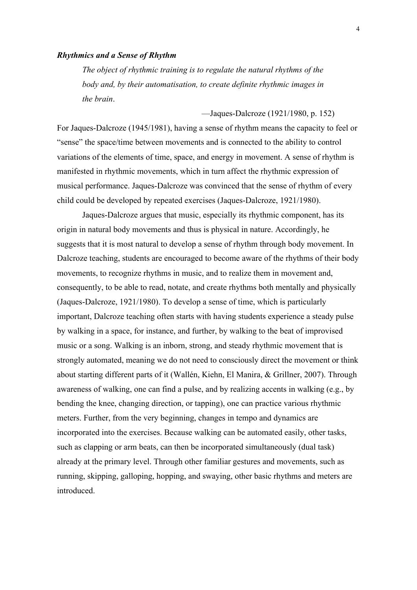#### *Rhythmics and a Sense of Rhythm*

*The object of rhythmic training is to regulate the natural rhythms of the body and, by their automatisation, to create definite rhythmic images in the brain*.

—Jaques-Dalcroze (1921/1980, p. 152)

For Jaques-Dalcroze (1945/1981), having a sense of rhythm means the capacity to feel or "sense" the space/time between movements and is connected to the ability to control variations of the elements of time, space, and energy in movement. A sense of rhythm is manifested in rhythmic movements, which in turn affect the rhythmic expression of musical performance. Jaques-Dalcroze was convinced that the sense of rhythm of every child could be developed by repeated exercises (Jaques-Dalcroze, 1921/1980).

Jaques-Dalcroze argues that music, especially its rhythmic component, has its origin in natural body movements and thus is physical in nature. Accordingly, he suggests that it is most natural to develop a sense of rhythm through body movement. In Dalcroze teaching, students are encouraged to become aware of the rhythms of their body movements, to recognize rhythms in music, and to realize them in movement and, consequently, to be able to read, notate, and create rhythms both mentally and physically (Jaques-Dalcroze, 1921/1980). To develop a sense of time, which is particularly important, Dalcroze teaching often starts with having students experience a steady pulse by walking in a space, for instance, and further, by walking to the beat of improvised music or a song. Walking is an inborn, strong, and steady rhythmic movement that is strongly automated, meaning we do not need to consciously direct the movement or think about starting different parts of it (Wallén, Kiehn, El Manira, & Grillner, 2007). Through awareness of walking, one can find a pulse, and by realizing accents in walking (e.g., by bending the knee, changing direction, or tapping), one can practice various rhythmic meters. Further, from the very beginning, changes in tempo and dynamics are incorporated into the exercises. Because walking can be automated easily, other tasks, such as clapping or arm beats, can then be incorporated simultaneously (dual task) already at the primary level. Through other familiar gestures and movements, such as running, skipping, galloping, hopping, and swaying, other basic rhythms and meters are introduced.

4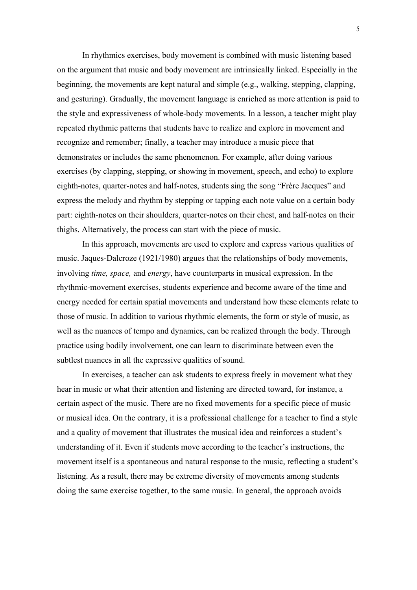In rhythmics exercises, body movement is combined with music listening based on the argument that music and body movement are intrinsically linked. Especially in the beginning, the movements are kept natural and simple (e.g., walking, stepping, clapping, and gesturing). Gradually, the movement language is enriched as more attention is paid to the style and expressiveness of whole-body movements. In a lesson, a teacher might play repeated rhythmic patterns that students have to realize and explore in movement and recognize and remember; finally, a teacher may introduce a music piece that demonstrates or includes the same phenomenon. For example, after doing various exercises (by clapping, stepping, or showing in movement, speech, and echo) to explore eighth-notes, quarter-notes and half-notes, students sing the song "Frère Jacques" and express the melody and rhythm by stepping or tapping each note value on a certain body part: eighth-notes on their shoulders, quarter-notes on their chest, and half-notes on their thighs. Alternatively, the process can start with the piece of music.

In this approach, movements are used to explore and express various qualities of music. Jaques-Dalcroze (1921/1980) argues that the relationships of body movements, involving *time, space,* and *energy*, have counterparts in musical expression. In the rhythmic-movement exercises, students experience and become aware of the time and energy needed for certain spatial movements and understand how these elements relate to those of music. In addition to various rhythmic elements, the form or style of music, as well as the nuances of tempo and dynamics, can be realized through the body. Through practice using bodily involvement, one can learn to discriminate between even the subtlest nuances in all the expressive qualities of sound.

In exercises, a teacher can ask students to express freely in movement what they hear in music or what their attention and listening are directed toward, for instance, a certain aspect of the music. There are no fixed movements for a specific piece of music or musical idea. On the contrary, it is a professional challenge for a teacher to find a style and a quality of movement that illustrates the musical idea and reinforces a student's understanding of it. Even if students move according to the teacher's instructions, the movement itself is a spontaneous and natural response to the music, reflecting a student's listening. As a result, there may be extreme diversity of movements among students doing the same exercise together, to the same music. In general, the approach avoids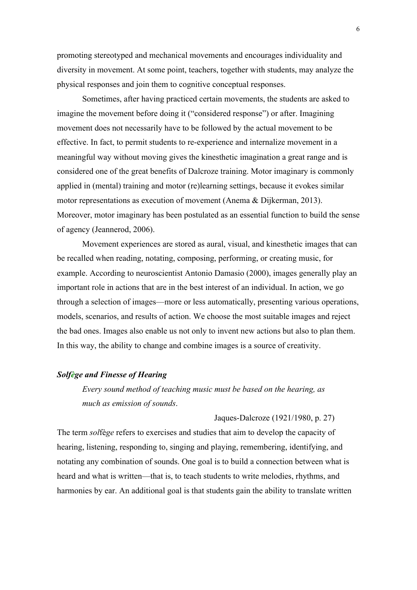promoting stereotyped and mechanical movements and encourages individuality and diversity in movement. At some point, teachers, together with students, may analyze the physical responses and join them to cognitive conceptual responses.

Sometimes, after having practiced certain movements, the students are asked to imagine the movement before doing it ("considered response") or after. Imagining movement does not necessarily have to be followed by the actual movement to be effective. In fact, to permit students to re-experience and internalize movement in a meaningful way without moving gives the kinesthetic imagination a great range and is considered one of the great benefits of Dalcroze training. Motor imaginary is commonly applied in (mental) training and motor (re)learning settings, because it evokes similar motor representations as execution of movement (Anema & Dijkerman, 2013). Moreover, motor imaginary has been postulated as an essential function to build the sense of agency (Jeannerod, 2006).

Movement experiences are stored as aural, visual, and kinesthetic images that can be recalled when reading, notating, composing, performing, or creating music, for example. According to neuroscientist Antonio Damasio (2000), images generally play an important role in actions that are in the best interest of an individual. In action, we go through a selection of images—more or less automatically, presenting various operations, models, scenarios, and results of action. We choose the most suitable images and reject the bad ones. Images also enable us not only to invent new actions but also to plan them. In this way, the ability to change and combine images is a source of creativity.

#### *Solfège and Finesse of Hearing*

*Every sound method of teaching music must be based on the hearing, as much as emission of sounds*.

Jaques-Dalcroze (1921/1980, p. 27)

The term *sol*fè*ge* refers to exercises and studies that aim to develop the capacity of hearing, listening, responding to, singing and playing, remembering, identifying, and notating any combination of sounds. One goal is to build a connection between what is heard and what is written—that is, to teach students to write melodies, rhythms, and harmonies by ear. An additional goal is that students gain the ability to translate written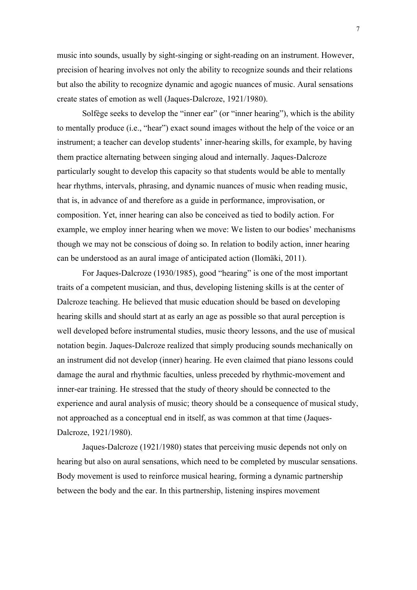music into sounds, usually by sight-singing or sight-reading on an instrument. However, precision of hearing involves not only the ability to recognize sounds and their relations but also the ability to recognize dynamic and agogic nuances of music. Aural sensations create states of emotion as well (Jaques-Dalcroze, 1921/1980).

Solfège seeks to develop the "inner ear" (or "inner hearing"), which is the ability to mentally produce (i.e., "hear") exact sound images without the help of the voice or an instrument; a teacher can develop students' inner-hearing skills, for example, by having them practice alternating between singing aloud and internally. Jaques-Dalcroze particularly sought to develop this capacity so that students would be able to mentally hear rhythms, intervals, phrasing, and dynamic nuances of music when reading music, that is, in advance of and therefore as a guide in performance, improvisation, or composition. Yet, inner hearing can also be conceived as tied to bodily action. For example, we employ inner hearing when we move: We listen to our bodies' mechanisms though we may not be conscious of doing so. In relation to bodily action, inner hearing can be understood as an aural image of anticipated action (Ilomäki, 2011).

For Jaques-Dalcroze (1930/1985), good "hearing" is one of the most important traits of a competent musician, and thus, developing listening skills is at the center of Dalcroze teaching. He believed that music education should be based on developing hearing skills and should start at as early an age as possible so that aural perception is well developed before instrumental studies, music theory lessons, and the use of musical notation begin. Jaques-Dalcroze realized that simply producing sounds mechanically on an instrument did not develop (inner) hearing. He even claimed that piano lessons could damage the aural and rhythmic faculties, unless preceded by rhythmic-movement and inner-ear training. He stressed that the study of theory should be connected to the experience and aural analysis of music; theory should be a consequence of musical study, not approached as a conceptual end in itself, as was common at that time (Jaques-Dalcroze, 1921/1980).

Jaques-Dalcroze (1921/1980) states that perceiving music depends not only on hearing but also on aural sensations, which need to be completed by muscular sensations. Body movement is used to reinforce musical hearing, forming a dynamic partnership between the body and the ear. In this partnership, listening inspires movement

7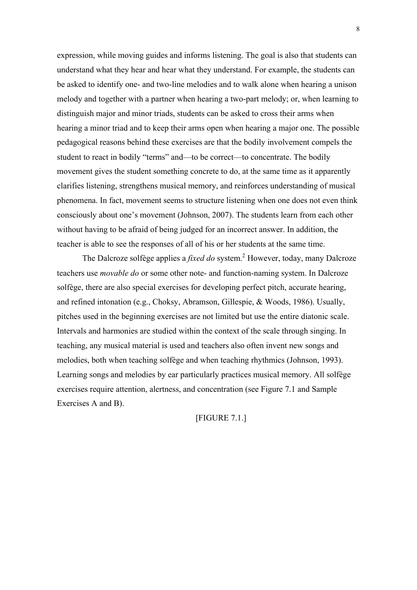expression, while moving guides and informs listening. The goal is also that students can understand what they hear and hear what they understand. For example, the students can be asked to identify one- and two-line melodies and to walk alone when hearing a unison melody and together with a partner when hearing a two-part melody; or, when learning to distinguish major and minor triads, students can be asked to cross their arms when hearing a minor triad and to keep their arms open when hearing a major one. The possible pedagogical reasons behind these exercises are that the bodily involvement compels the student to react in bodily "terms" and—to be correct—to concentrate. The bodily movement gives the student something concrete to do, at the same time as it apparently clarifies listening, strengthens musical memory, and reinforces understanding of musical phenomena. In fact, movement seems to structure listening when one does not even think consciously about one's movement (Johnson, 2007). The students learn from each other without having to be afraid of being judged for an incorrect answer. In addition, the teacher is able to see the responses of all of his or her students at the same time.

The Dalcroze solfège applies a *fixed do* system. <sup>2</sup> However, today, many Dalcroze teachers use *movable do* or some other note- and function-naming system. In Dalcroze solfège, there are also special exercises for developing perfect pitch, accurate hearing, and refined intonation (e.g., Choksy, Abramson, Gillespie, & Woods, 1986). Usually, pitches used in the beginning exercises are not limited but use the entire diatonic scale. Intervals and harmonies are studied within the context of the scale through singing. In teaching, any musical material is used and teachers also often invent new songs and melodies, both when teaching solfège and when teaching rhythmics (Johnson, 1993). Learning songs and melodies by ear particularly practices musical memory. All solfège exercises require attention, alertness, and concentration (see Figure 7.1 and Sample Exercises A and B).

[FIGURE 7.1.]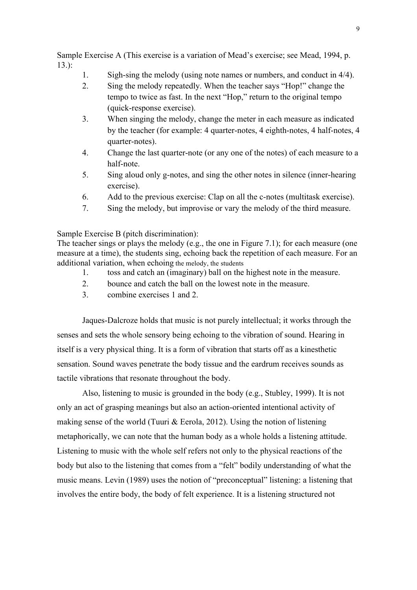Sample Exercise A (This exercise is a variation of Mead's exercise; see Mead, 1994, p. 13.):

- 1. Sigh-sing the melody (using note names or numbers, and conduct in 4/4).
- 2. Sing the melody repeatedly. When the teacher says "Hop!" change the tempo to twice as fast. In the next "Hop," return to the original tempo (quick-response exercise).
- 3. When singing the melody, change the meter in each measure as indicated by the teacher (for example: 4 quarter-notes, 4 eighth-notes, 4 half-notes, 4 quarter-notes).
- 4. Change the last quarter-note (or any one of the notes) of each measure to a half-note.
- 5. Sing aloud only g-notes, and sing the other notes in silence (inner-hearing exercise).
- 6. Add to the previous exercise: Clap on all the c-notes (multitask exercise).
- 7. Sing the melody, but improvise or vary the melody of the third measure.

#### Sample Exercise B (pitch discrimination):

The teacher sings or plays the melody (e.g., the one in Figure 7.1); for each measure (one measure at a time), the students sing, echoing back the repetition of each measure. For an additional variation, when echoing the melody, the students

- 1. toss and catch an (imaginary) ball on the highest note in the measure.
- 2. bounce and catch the ball on the lowest note in the measure.
- 3. combine exercises 1 and 2.

Jaques-Dalcroze holds that music is not purely intellectual; it works through the senses and sets the whole sensory being echoing to the vibration of sound. Hearing in itself is a very physical thing. It is a form of vibration that starts off as a kinesthetic sensation. Sound waves penetrate the body tissue and the eardrum receives sounds as tactile vibrations that resonate throughout the body.

Also, listening to music is grounded in the body (e.g., Stubley, 1999). It is not only an act of grasping meanings but also an action-oriented intentional activity of making sense of the world (Tuuri & Eerola, 2012). Using the notion of listening metaphorically, we can note that the human body as a whole holds a listening attitude. Listening to music with the whole self refers not only to the physical reactions of the body but also to the listening that comes from a "felt" bodily understanding of what the music means. Levin (1989) uses the notion of "preconceptual" listening: a listening that involves the entire body, the body of felt experience. It is a listening structured not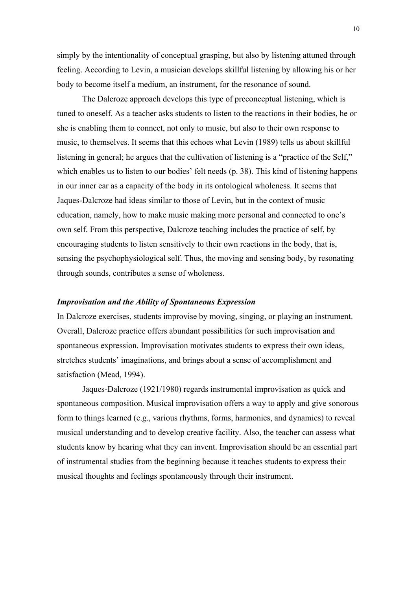simply by the intentionality of conceptual grasping, but also by listening attuned through feeling. According to Levin, a musician develops skillful listening by allowing his or her body to become itself a medium, an instrument, for the resonance of sound.

The Dalcroze approach develops this type of preconceptual listening, which is tuned to oneself. As a teacher asks students to listen to the reactions in their bodies, he or she is enabling them to connect, not only to music, but also to their own response to music, to themselves. It seems that this echoes what Levin (1989) tells us about skillful listening in general; he argues that the cultivation of listening is a "practice of the Self," which enables us to listen to our bodies' felt needs (p. 38). This kind of listening happens in our inner ear as a capacity of the body in its ontological wholeness. It seems that Jaques-Dalcroze had ideas similar to those of Levin, but in the context of music education, namely, how to make music making more personal and connected to one's own self. From this perspective, Dalcroze teaching includes the practice of self, by encouraging students to listen sensitively to their own reactions in the body, that is, sensing the psychophysiological self. Thus, the moving and sensing body, by resonating through sounds, contributes a sense of wholeness.

#### *Improvisation and the Ability of Spontaneous Expression*

In Dalcroze exercises, students improvise by moving, singing, or playing an instrument. Overall, Dalcroze practice offers abundant possibilities for such improvisation and spontaneous expression. Improvisation motivates students to express their own ideas, stretches students' imaginations, and brings about a sense of accomplishment and satisfaction (Mead, 1994).

Jaques-Dalcroze (1921/1980) regards instrumental improvisation as quick and spontaneous composition. Musical improvisation offers a way to apply and give sonorous form to things learned (e.g., various rhythms, forms, harmonies, and dynamics) to reveal musical understanding and to develop creative facility. Also, the teacher can assess what students know by hearing what they can invent. Improvisation should be an essential part of instrumental studies from the beginning because it teaches students to express their musical thoughts and feelings spontaneously through their instrument.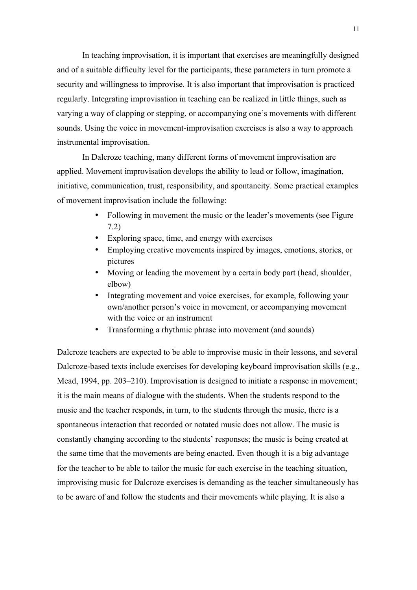In teaching improvisation, it is important that exercises are meaningfully designed and of a suitable difficulty level for the participants; these parameters in turn promote a security and willingness to improvise. It is also important that improvisation is practiced regularly. Integrating improvisation in teaching can be realized in little things, such as varying a way of clapping or stepping, or accompanying one's movements with different sounds. Using the voice in movement-improvisation exercises is also a way to approach instrumental improvisation.

In Dalcroze teaching, many different forms of movement improvisation are applied. Movement improvisation develops the ability to lead or follow, imagination, initiative, communication, trust, responsibility, and spontaneity. Some practical examples of movement improvisation include the following:

- Following in movement the music or the leader's movements (see Figure 7.2)
- Exploring space, time, and energy with exercises
- Employing creative movements inspired by images, emotions, stories, or pictures
- Moving or leading the movement by a certain body part (head, shoulder, elbow)
- Integrating movement and voice exercises, for example, following your own/another person's voice in movement, or accompanying movement with the voice or an instrument
- Transforming a rhythmic phrase into movement (and sounds)

Dalcroze teachers are expected to be able to improvise music in their lessons, and several Dalcroze-based texts include exercises for developing keyboard improvisation skills (e.g., Mead, 1994, pp. 203–210). Improvisation is designed to initiate a response in movement; it is the main means of dialogue with the students. When the students respond to the music and the teacher responds, in turn, to the students through the music, there is a spontaneous interaction that recorded or notated music does not allow. The music is constantly changing according to the students' responses; the music is being created at the same time that the movements are being enacted. Even though it is a big advantage for the teacher to be able to tailor the music for each exercise in the teaching situation, improvising music for Dalcroze exercises is demanding as the teacher simultaneously has to be aware of and follow the students and their movements while playing. It is also a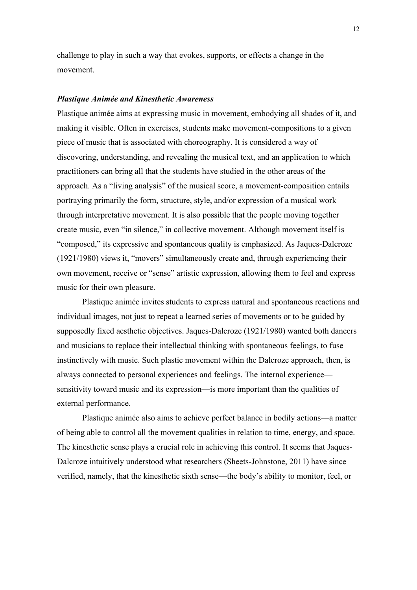challenge to play in such a way that evokes, supports, or effects a change in the movement.

#### *Plastique Animée and Kinesthetic Awareness*

Plastique animée aims at expressing music in movement, embodying all shades of it, and making it visible. Often in exercises, students make movement-compositions to a given piece of music that is associated with choreography. It is considered a way of discovering, understanding, and revealing the musical text, and an application to which practitioners can bring all that the students have studied in the other areas of the approach. As a "living analysis" of the musical score, a movement-composition entails portraying primarily the form, structure, style, and/or expression of a musical work through interpretative movement. It is also possible that the people moving together create music, even "in silence," in collective movement. Although movement itself is "composed," its expressive and spontaneous quality is emphasized. As Jaques-Dalcroze (1921/1980) views it, "movers" simultaneously create and, through experiencing their own movement, receive or "sense" artistic expression, allowing them to feel and express music for their own pleasure.

Plastique animée invites students to express natural and spontaneous reactions and individual images, not just to repeat a learned series of movements or to be guided by supposedly fixed aesthetic objectives. Jaques-Dalcroze (1921/1980) wanted both dancers and musicians to replace their intellectual thinking with spontaneous feelings, to fuse instinctively with music. Such plastic movement within the Dalcroze approach, then, is always connected to personal experiences and feelings. The internal experience sensitivity toward music and its expression—is more important than the qualities of external performance.

Plastique animée also aims to achieve perfect balance in bodily actions—a matter of being able to control all the movement qualities in relation to time, energy, and space. The kinesthetic sense plays a crucial role in achieving this control. It seems that Jaques-Dalcroze intuitively understood what researchers (Sheets-Johnstone, 2011) have since verified, namely, that the kinesthetic sixth sense—the body's ability to monitor, feel, or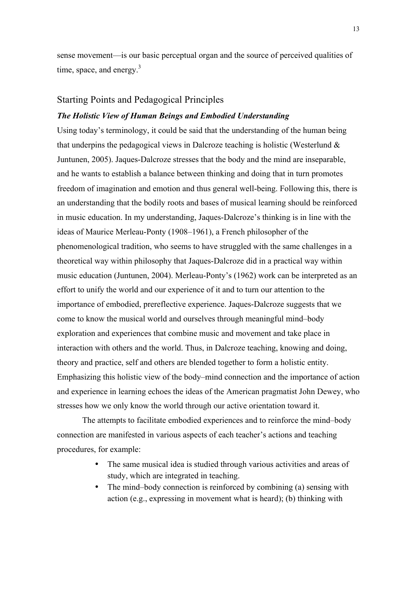sense movement—is our basic perceptual organ and the source of perceived qualities of time, space, and energy. $3$ 

### Starting Points and Pedagogical Principles

#### *The Holistic View of Human Beings and Embodied Understanding*

Using today's terminology, it could be said that the understanding of the human being that underpins the pedagogical views in Dalcroze teaching is holistic (Westerlund  $\&$ Juntunen, 2005). Jaques-Dalcroze stresses that the body and the mind are inseparable, and he wants to establish a balance between thinking and doing that in turn promotes freedom of imagination and emotion and thus general well-being. Following this, there is an understanding that the bodily roots and bases of musical learning should be reinforced in music education. In my understanding, Jaques-Dalcroze's thinking is in line with the ideas of Maurice Merleau-Ponty (1908–1961), a French philosopher of the phenomenological tradition, who seems to have struggled with the same challenges in a theoretical way within philosophy that Jaques-Dalcroze did in a practical way within music education (Juntunen, 2004). Merleau-Ponty's (1962) work can be interpreted as an effort to unify the world and our experience of it and to turn our attention to the importance of embodied, prereflective experience. Jaques-Dalcroze suggests that we come to know the musical world and ourselves through meaningful mind–body exploration and experiences that combine music and movement and take place in interaction with others and the world. Thus, in Dalcroze teaching, knowing and doing, theory and practice, self and others are blended together to form a holistic entity. Emphasizing this holistic view of the body–mind connection and the importance of action and experience in learning echoes the ideas of the American pragmatist John Dewey, who stresses how we only know the world through our active orientation toward it.

The attempts to facilitate embodied experiences and to reinforce the mind–body connection are manifested in various aspects of each teacher's actions and teaching procedures, for example:

- The same musical idea is studied through various activities and areas of study, which are integrated in teaching.
- The mind–body connection is reinforced by combining (a) sensing with action (e.g., expressing in movement what is heard); (b) thinking with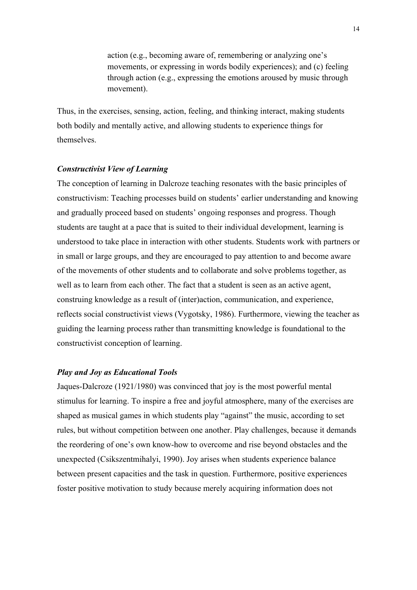action (e.g., becoming aware of, remembering or analyzing one's movements, or expressing in words bodily experiences); and (c) feeling through action (e.g., expressing the emotions aroused by music through movement).

Thus, in the exercises, sensing, action, feeling, and thinking interact, making students both bodily and mentally active, and allowing students to experience things for themselves.

#### *Constructivist View of Learning*

The conception of learning in Dalcroze teaching resonates with the basic principles of constructivism: Teaching processes build on students' earlier understanding and knowing and gradually proceed based on students' ongoing responses and progress. Though students are taught at a pace that is suited to their individual development, learning is understood to take place in interaction with other students. Students work with partners or in small or large groups, and they are encouraged to pay attention to and become aware of the movements of other students and to collaborate and solve problems together, as well as to learn from each other. The fact that a student is seen as an active agent, construing knowledge as a result of (inter)action, communication, and experience, reflects social constructivist views (Vygotsky, 1986). Furthermore, viewing the teacher as guiding the learning process rather than transmitting knowledge is foundational to the constructivist conception of learning.

#### *Play and Joy as Educational Tools*

Jaques-Dalcroze (1921/1980) was convinced that joy is the most powerful mental stimulus for learning. To inspire a free and joyful atmosphere, many of the exercises are shaped as musical games in which students play "against" the music, according to set rules, but without competition between one another. Play challenges, because it demands the reordering of one's own know-how to overcome and rise beyond obstacles and the unexpected (Csikszentmihalyi, 1990). Joy arises when students experience balance between present capacities and the task in question. Furthermore, positive experiences foster positive motivation to study because merely acquiring information does not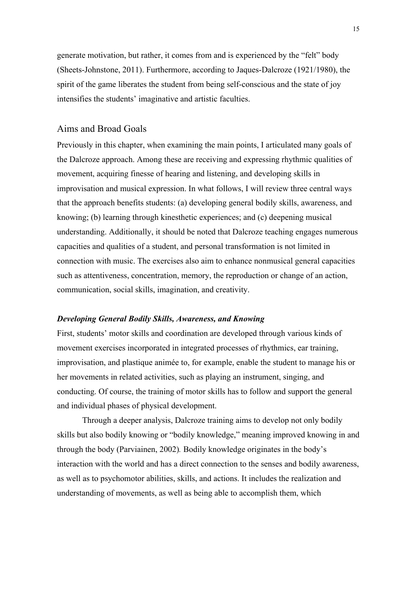generate motivation, but rather, it comes from and is experienced by the "felt" body (Sheets-Johnstone, 2011). Furthermore, according to Jaques-Dalcroze (1921/1980), the spirit of the game liberates the student from being self-conscious and the state of joy intensifies the students' imaginative and artistic faculties.

# Aims and Broad Goals

Previously in this chapter, when examining the main points, I articulated many goals of the Dalcroze approach. Among these are receiving and expressing rhythmic qualities of movement, acquiring finesse of hearing and listening, and developing skills in improvisation and musical expression. In what follows, I will review three central ways that the approach benefits students: (a) developing general bodily skills, awareness, and knowing; (b) learning through kinesthetic experiences; and (c) deepening musical understanding. Additionally, it should be noted that Dalcroze teaching engages numerous capacities and qualities of a student, and personal transformation is not limited in connection with music. The exercises also aim to enhance nonmusical general capacities such as attentiveness, concentration, memory, the reproduction or change of an action, communication, social skills, imagination, and creativity.

# *Developing General Bodily Skills, Awareness, and Knowing*

First, students' motor skills and coordination are developed through various kinds of movement exercises incorporated in integrated processes of rhythmics, ear training, improvisation, and plastique animée to, for example, enable the student to manage his or her movements in related activities, such as playing an instrument, singing, and conducting. Of course, the training of motor skills has to follow and support the general and individual phases of physical development.

Through a deeper analysis, Dalcroze training aims to develop not only bodily skills but also bodily knowing or "bodily knowledge," meaning improved knowing in and through the body (Parviainen, 2002)*.* Bodily knowledge originates in the body's interaction with the world and has a direct connection to the senses and bodily awareness, as well as to psychomotor abilities, skills, and actions. It includes the realization and understanding of movements, as well as being able to accomplish them, which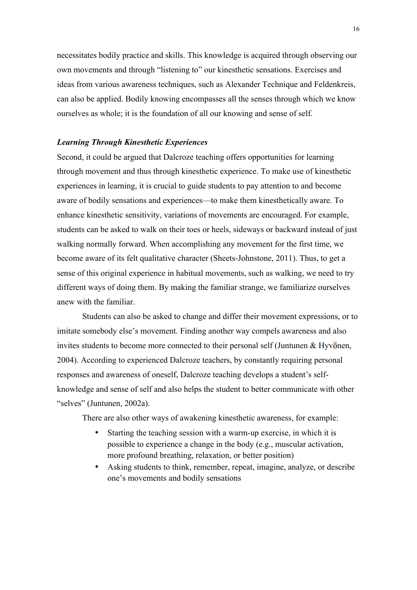necessitates bodily practice and skills. This knowledge is acquired through observing our own movements and through "listening to" our kinesthetic sensations. Exercises and ideas from various awareness techniques, such as Alexander Technique and Feldenkreis, can also be applied. Bodily knowing encompasses all the senses through which we know ourselves as whole; it is the foundation of all our knowing and sense of self.

### *Learning Through Kinesthetic Experiences*

Second, it could be argued that Dalcroze teaching offers opportunities for learning through movement and thus through kinesthetic experience. To make use of kinesthetic experiences in learning, it is crucial to guide students to pay attention to and become aware of bodily sensations and experiences—to make them kinesthetically aware. To enhance kinesthetic sensitivity, variations of movements are encouraged. For example, students can be asked to walk on their toes or heels, sideways or backward instead of just walking normally forward. When accomplishing any movement for the first time, we become aware of its felt qualitative character (Sheets-Johnstone, 2011). Thus, to get a sense of this original experience in habitual movements, such as walking, we need to try different ways of doing them. By making the familiar strange, we familiarize ourselves anew with the familiar.

Students can also be asked to change and differ their movement expressions, or to imitate somebody else's movement. Finding another way compels awareness and also invites students to become more connected to their personal self (Juntunen  $\&$  Hyvönen, 2004). According to experienced Dalcroze teachers, by constantly requiring personal responses and awareness of oneself, Dalcroze teaching develops a student's selfknowledge and sense of self and also helps the student to better communicate with other "selves" (Juntunen, 2002a).

There are also other ways of awakening kinesthetic awareness, for example:

- Starting the teaching session with a warm-up exercise, in which it is possible to experience a change in the body (e.g., muscular activation, more profound breathing, relaxation, or better position)
- Asking students to think, remember, repeat, imagine, analyze, or describe one's movements and bodily sensations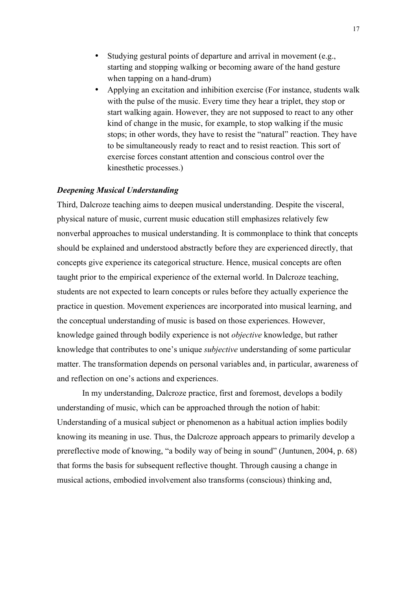- Studying gestural points of departure and arrival in movement (e.g., starting and stopping walking or becoming aware of the hand gesture when tapping on a hand-drum)
- Applying an excitation and inhibition exercise (For instance, students walk with the pulse of the music. Every time they hear a triplet, they stop or start walking again. However, they are not supposed to react to any other kind of change in the music, for example, to stop walking if the music stops; in other words, they have to resist the "natural" reaction. They have to be simultaneously ready to react and to resist reaction. This sort of exercise forces constant attention and conscious control over the kinesthetic processes.)

### *Deepening Musical Understanding*

Third, Dalcroze teaching aims to deepen musical understanding. Despite the visceral, physical nature of music, current music education still emphasizes relatively few nonverbal approaches to musical understanding. It is commonplace to think that concepts should be explained and understood abstractly before they are experienced directly, that concepts give experience its categorical structure. Hence, musical concepts are often taught prior to the empirical experience of the external world. In Dalcroze teaching, students are not expected to learn concepts or rules before they actually experience the practice in question. Movement experiences are incorporated into musical learning, and the conceptual understanding of music is based on those experiences. However, knowledge gained through bodily experience is not *objective* knowledge, but rather knowledge that contributes to one's unique *subjective* understanding of some particular matter. The transformation depends on personal variables and, in particular, awareness of and reflection on one's actions and experiences.

In my understanding, Dalcroze practice, first and foremost, develops a bodily understanding of music, which can be approached through the notion of habit: Understanding of a musical subject or phenomenon as a habitual action implies bodily knowing its meaning in use. Thus, the Dalcroze approach appears to primarily develop a prereflective mode of knowing, "a bodily way of being in sound" (Juntunen, 2004, p. 68) that forms the basis for subsequent reflective thought. Through causing a change in musical actions, embodied involvement also transforms (conscious) thinking and,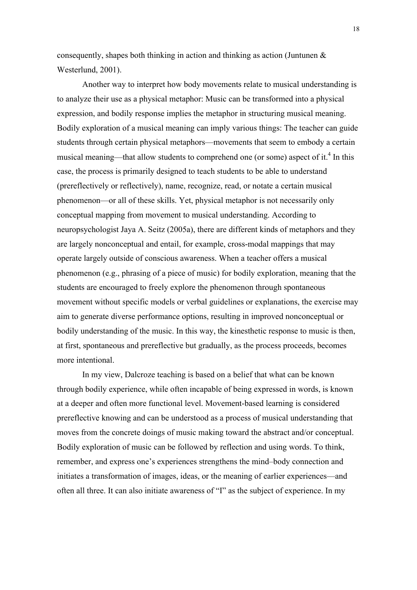consequently, shapes both thinking in action and thinking as action (Juntunen & Westerlund, 2001).

Another way to interpret how body movements relate to musical understanding is to analyze their use as a physical metaphor: Music can be transformed into a physical expression, and bodily response implies the metaphor in structuring musical meaning. Bodily exploration of a musical meaning can imply various things: The teacher can guide students through certain physical metaphors—movements that seem to embody a certain musical meaning—that allow students to comprehend one (or some) aspect of it.<sup>4</sup> In this case, the process is primarily designed to teach students to be able to understand (prereflectively or reflectively), name, recognize, read, or notate a certain musical phenomenon—or all of these skills. Yet, physical metaphor is not necessarily only conceptual mapping from movement to musical understanding. According to neuropsychologist Jaya A. Seitz (2005a), there are different kinds of metaphors and they are largely nonconceptual and entail, for example, cross-modal mappings that may operate largely outside of conscious awareness. When a teacher offers a musical phenomenon (e.g., phrasing of a piece of music) for bodily exploration, meaning that the students are encouraged to freely explore the phenomenon through spontaneous movement without specific models or verbal guidelines or explanations, the exercise may aim to generate diverse performance options, resulting in improved nonconceptual or bodily understanding of the music. In this way, the kinesthetic response to music is then, at first, spontaneous and prereflective but gradually, as the process proceeds, becomes more intentional.

In my view, Dalcroze teaching is based on a belief that what can be known through bodily experience, while often incapable of being expressed in words, is known at a deeper and often more functional level. Movement-based learning is considered prereflective knowing and can be understood as a process of musical understanding that moves from the concrete doings of music making toward the abstract and/or conceptual. Bodily exploration of music can be followed by reflection and using words. To think, remember, and express one's experiences strengthens the mind–body connection and initiates a transformation of images, ideas, or the meaning of earlier experiences—and often all three. It can also initiate awareness of "I" as the subject of experience. In my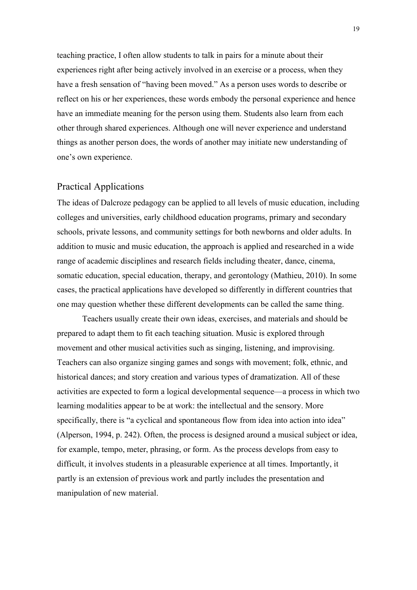teaching practice, I often allow students to talk in pairs for a minute about their experiences right after being actively involved in an exercise or a process, when they have a fresh sensation of "having been moved." As a person uses words to describe or reflect on his or her experiences, these words embody the personal experience and hence have an immediate meaning for the person using them. Students also learn from each other through shared experiences. Although one will never experience and understand things as another person does, the words of another may initiate new understanding of one's own experience.

### Practical Applications

The ideas of Dalcroze pedagogy can be applied to all levels of music education, including colleges and universities, early childhood education programs, primary and secondary schools, private lessons, and community settings for both newborns and older adults. In addition to music and music education, the approach is applied and researched in a wide range of academic disciplines and research fields including theater, dance, cinema, somatic education, special education, therapy, and gerontology (Mathieu, 2010). In some cases, the practical applications have developed so differently in different countries that one may question whether these different developments can be called the same thing.

Teachers usually create their own ideas, exercises, and materials and should be prepared to adapt them to fit each teaching situation. Music is explored through movement and other musical activities such as singing, listening, and improvising. Teachers can also organize singing games and songs with movement; folk, ethnic, and historical dances; and story creation and various types of dramatization. All of these activities are expected to form a logical developmental sequence—a process in which two learning modalities appear to be at work: the intellectual and the sensory. More specifically, there is "a cyclical and spontaneous flow from idea into action into idea" (Alperson, 1994, p. 242). Often, the process is designed around a musical subject or idea, for example, tempo, meter, phrasing, or form. As the process develops from easy to difficult, it involves students in a pleasurable experience at all times. Importantly, it partly is an extension of previous work and partly includes the presentation and manipulation of new material.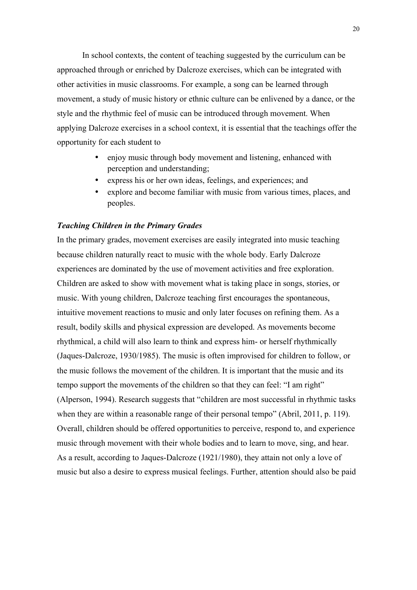In school contexts, the content of teaching suggested by the curriculum can be approached through or enriched by Dalcroze exercises, which can be integrated with other activities in music classrooms. For example, a song can be learned through movement, a study of music history or ethnic culture can be enlivened by a dance, or the style and the rhythmic feel of music can be introduced through movement. When applying Dalcroze exercises in a school context, it is essential that the teachings offer the opportunity for each student to

- enjoy music through body movement and listening, enhanced with perception and understanding;
- express his or her own ideas, feelings, and experiences; and
- explore and become familiar with music from various times, places, and peoples.

#### *Teaching Children in the Primary Grades*

In the primary grades, movement exercises are easily integrated into music teaching because children naturally react to music with the whole body. Early Dalcroze experiences are dominated by the use of movement activities and free exploration. Children are asked to show with movement what is taking place in songs, stories, or music. With young children, Dalcroze teaching first encourages the spontaneous, intuitive movement reactions to music and only later focuses on refining them. As a result, bodily skills and physical expression are developed. As movements become rhythmical, a child will also learn to think and express him- or herself rhythmically (Jaques-Dalcroze, 1930/1985). The music is often improvised for children to follow, or the music follows the movement of the children. It is important that the music and its tempo support the movements of the children so that they can feel: "I am right" (Alperson, 1994). Research suggests that "children are most successful in rhythmic tasks when they are within a reasonable range of their personal tempo" (Abril, 2011, p. 119). Overall, children should be offered opportunities to perceive, respond to, and experience music through movement with their whole bodies and to learn to move, sing, and hear. As a result, according to Jaques-Dalcroze (1921/1980), they attain not only a love of music but also a desire to express musical feelings. Further, attention should also be paid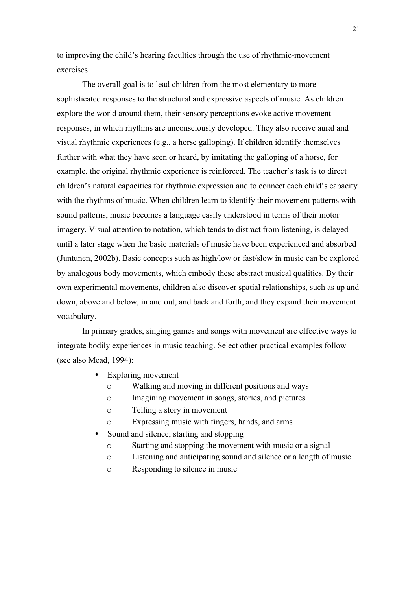to improving the child's hearing faculties through the use of rhythmic-movement exercises.

The overall goal is to lead children from the most elementary to more sophisticated responses to the structural and expressive aspects of music. As children explore the world around them, their sensory perceptions evoke active movement responses, in which rhythms are unconsciously developed. They also receive aural and visual rhythmic experiences (e.g., a horse galloping). If children identify themselves further with what they have seen or heard, by imitating the galloping of a horse, for example, the original rhythmic experience is reinforced. The teacher's task is to direct children's natural capacities for rhythmic expression and to connect each child's capacity with the rhythms of music. When children learn to identify their movement patterns with sound patterns, music becomes a language easily understood in terms of their motor imagery. Visual attention to notation, which tends to distract from listening, is delayed until a later stage when the basic materials of music have been experienced and absorbed (Juntunen, 2002b). Basic concepts such as high/low or fast/slow in music can be explored by analogous body movements, which embody these abstract musical qualities. By their own experimental movements, children also discover spatial relationships, such as up and down, above and below, in and out, and back and forth, and they expand their movement vocabulary.

In primary grades, singing games and songs with movement are effective ways to integrate bodily experiences in music teaching. Select other practical examples follow (see also Mead, 1994):

- Exploring movement
	- o Walking and moving in different positions and ways
	- o Imagining movement in songs, stories, and pictures
	- o Telling a story in movement
	- o Expressing music with fingers, hands, and arms
- Sound and silence; starting and stopping
	- o Starting and stopping the movement with music or a signal
	- o Listening and anticipating sound and silence or a length of music
	- o Responding to silence in music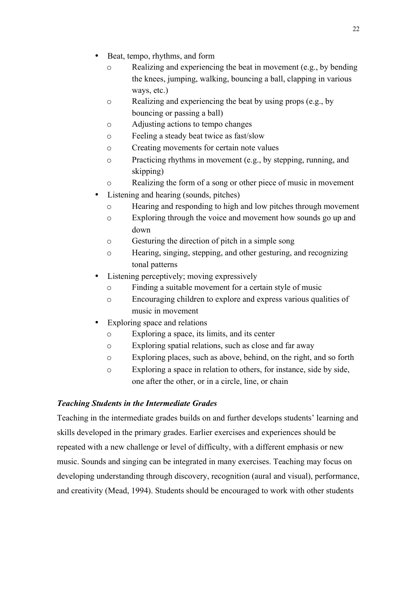- Beat, tempo, rhythms, and form
	- o Realizing and experiencing the beat in movement (e.g., by bending the knees, jumping, walking, bouncing a ball, clapping in various ways, etc.)
	- o Realizing and experiencing the beat by using props (e.g., by bouncing or passing a ball)
	- o Adjusting actions to tempo changes
	- o Feeling a steady beat twice as fast/slow
	- o Creating movements for certain note values
	- o Practicing rhythms in movement (e.g., by stepping, running, and skipping)
	- o Realizing the form of a song or other piece of music in movement
- Listening and hearing (sounds, pitches)
	- o Hearing and responding to high and low pitches through movement
	- o Exploring through the voice and movement how sounds go up and down
	- o Gesturing the direction of pitch in a simple song
	- o Hearing, singing, stepping, and other gesturing, and recognizing tonal patterns
- Listening perceptively; moving expressively
	- o Finding a suitable movement for a certain style of music
	- o Encouraging children to explore and express various qualities of music in movement
- Exploring space and relations
	- o Exploring a space, its limits, and its center
	- o Exploring spatial relations, such as close and far away
	- o Exploring places, such as above, behind, on the right, and so forth
	- o Exploring a space in relation to others, for instance, side by side, one after the other, or in a circle, line, or chain

# *Teaching Students in the Intermediate Grades*

Teaching in the intermediate grades builds on and further develops students' learning and skills developed in the primary grades. Earlier exercises and experiences should be repeated with a new challenge or level of difficulty, with a different emphasis or new music. Sounds and singing can be integrated in many exercises. Teaching may focus on developing understanding through discovery, recognition (aural and visual), performance, and creativity (Mead, 1994). Students should be encouraged to work with other students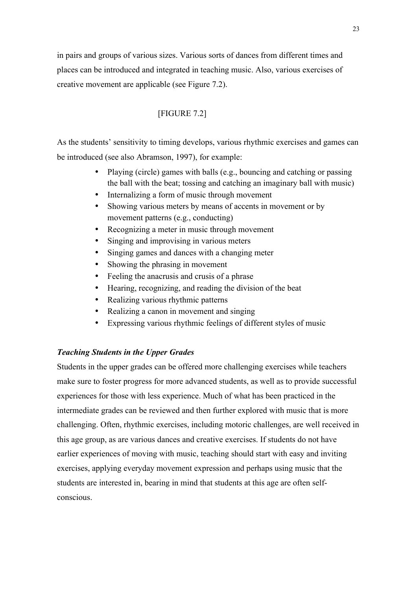in pairs and groups of various sizes. Various sorts of dances from different times and places can be introduced and integrated in teaching music. Also, various exercises of creative movement are applicable (see Figure 7.2).

# [FIGURE 7.2]

As the students' sensitivity to timing develops, various rhythmic exercises and games can be introduced (see also Abramson, 1997), for example:

- Playing (circle) games with balls (e.g., bouncing and catching or passing the ball with the beat; tossing and catching an imaginary ball with music)
- Internalizing a form of music through movement
- Showing various meters by means of accents in movement or by movement patterns (e.g., conducting)
- Recognizing a meter in music through movement
- Singing and improvising in various meters
- Singing games and dances with a changing meter
- Showing the phrasing in movement
- Feeling the anacrusis and crusis of a phrase
- Hearing, recognizing, and reading the division of the beat
- Realizing various rhythmic patterns
- Realizing a canon in movement and singing
- Expressing various rhythmic feelings of different styles of music

#### *Teaching Students in the Upper Grades*

Students in the upper grades can be offered more challenging exercises while teachers make sure to foster progress for more advanced students, as well as to provide successful experiences for those with less experience. Much of what has been practiced in the intermediate grades can be reviewed and then further explored with music that is more challenging. Often, rhythmic exercises, including motoric challenges, are well received in this age group, as are various dances and creative exercises. If students do not have earlier experiences of moving with music, teaching should start with easy and inviting exercises, applying everyday movement expression and perhaps using music that the students are interested in, bearing in mind that students at this age are often selfconscious.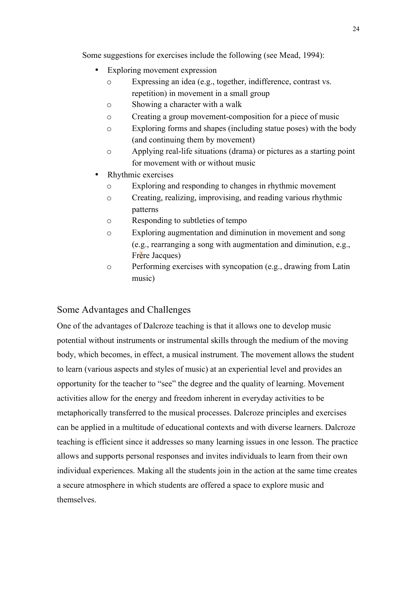Some suggestions for exercises include the following (see Mead, 1994):

- Exploring movement expression
	- o Expressing an idea (e.g., together, indifference, contrast vs. repetition) in movement in a small group
	- o Showing a character with a walk
	- o Creating a group movement-composition for a piece of music
	- o Exploring forms and shapes (including statue poses) with the body (and continuing them by movement)
	- o Applying real-life situations (drama) or pictures as a starting point for movement with or without music
- Rhythmic exercises
	- o Exploring and responding to changes in rhythmic movement
	- o Creating, realizing, improvising, and reading various rhythmic patterns
	- o Responding to subtleties of tempo
	- o Exploring augmentation and diminution in movement and song (e.g., rearranging a song with augmentation and diminution, e.g., Frère Jacques)
	- o Performing exercises with syncopation (e.g., drawing from Latin music)

# Some Advantages and Challenges

One of the advantages of Dalcroze teaching is that it allows one to develop music potential without instruments or instrumental skills through the medium of the moving body, which becomes, in effect, a musical instrument. The movement allows the student to learn (various aspects and styles of music) at an experiential level and provides an opportunity for the teacher to "see" the degree and the quality of learning. Movement activities allow for the energy and freedom inherent in everyday activities to be metaphorically transferred to the musical processes. Dalcroze principles and exercises can be applied in a multitude of educational contexts and with diverse learners. Dalcroze teaching is efficient since it addresses so many learning issues in one lesson. The practice allows and supports personal responses and invites individuals to learn from their own individual experiences. Making all the students join in the action at the same time creates a secure atmosphere in which students are offered a space to explore music and themselves.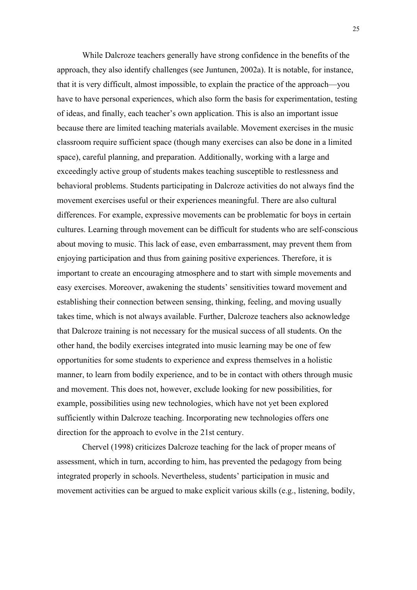While Dalcroze teachers generally have strong confidence in the benefits of the approach, they also identify challenges (see Juntunen, 2002a). It is notable, for instance, that it is very difficult, almost impossible, to explain the practice of the approach—you have to have personal experiences, which also form the basis for experimentation, testing of ideas, and finally, each teacher's own application. This is also an important issue because there are limited teaching materials available. Movement exercises in the music classroom require sufficient space (though many exercises can also be done in a limited space), careful planning, and preparation. Additionally, working with a large and exceedingly active group of students makes teaching susceptible to restlessness and behavioral problems. Students participating in Dalcroze activities do not always find the movement exercises useful or their experiences meaningful. There are also cultural differences. For example, expressive movements can be problematic for boys in certain cultures. Learning through movement can be difficult for students who are self-conscious about moving to music. This lack of ease, even embarrassment, may prevent them from enjoying participation and thus from gaining positive experiences. Therefore, it is important to create an encouraging atmosphere and to start with simple movements and easy exercises. Moreover, awakening the students' sensitivities toward movement and establishing their connection between sensing, thinking, feeling, and moving usually takes time, which is not always available. Further, Dalcroze teachers also acknowledge that Dalcroze training is not necessary for the musical success of all students. On the other hand, the bodily exercises integrated into music learning may be one of few opportunities for some students to experience and express themselves in a holistic manner, to learn from bodily experience, and to be in contact with others through music and movement. This does not, however, exclude looking for new possibilities, for example, possibilities using new technologies, which have not yet been explored sufficiently within Dalcroze teaching. Incorporating new technologies offers one direction for the approach to evolve in the 21st century.

Chervel (1998) criticizes Dalcroze teaching for the lack of proper means of assessment, which in turn, according to him, has prevented the pedagogy from being integrated properly in schools. Nevertheless, students' participation in music and movement activities can be argued to make explicit various skills (e.g., listening, bodily,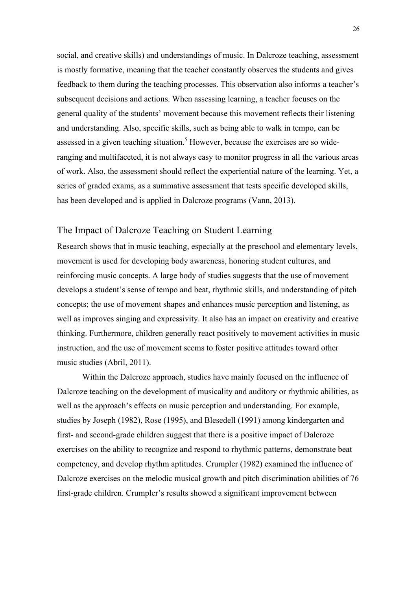social, and creative skills) and understandings of music. In Dalcroze teaching, assessment is mostly formative, meaning that the teacher constantly observes the students and gives feedback to them during the teaching processes. This observation also informs a teacher's subsequent decisions and actions. When assessing learning, a teacher focuses on the general quality of the students' movement because this movement reflects their listening and understanding. Also, specific skills, such as being able to walk in tempo, can be assessed in a given teaching situation.<sup>5</sup> However, because the exercises are so wideranging and multifaceted, it is not always easy to monitor progress in all the various areas of work. Also, the assessment should reflect the experiential nature of the learning. Yet, a series of graded exams, as a summative assessment that tests specific developed skills, has been developed and is applied in Dalcroze programs (Vann, 2013).

# The Impact of Dalcroze Teaching on Student Learning

Research shows that in music teaching, especially at the preschool and elementary levels, movement is used for developing body awareness, honoring student cultures, and reinforcing music concepts. A large body of studies suggests that the use of movement develops a student's sense of tempo and beat, rhythmic skills, and understanding of pitch concepts; the use of movement shapes and enhances music perception and listening, as well as improves singing and expressivity. It also has an impact on creativity and creative thinking. Furthermore, children generally react positively to movement activities in music instruction, and the use of movement seems to foster positive attitudes toward other music studies (Abril, 2011).

Within the Dalcroze approach, studies have mainly focused on the influence of Dalcroze teaching on the development of musicality and auditory or rhythmic abilities, as well as the approach's effects on music perception and understanding. For example, studies by Joseph (1982), Rose (1995), and Blesedell (1991) among kindergarten and first- and second-grade children suggest that there is a positive impact of Dalcroze exercises on the ability to recognize and respond to rhythmic patterns, demonstrate beat competency, and develop rhythm aptitudes. Crumpler (1982) examined the influence of Dalcroze exercises on the melodic musical growth and pitch discrimination abilities of 76 first-grade children. Crumpler's results showed a significant improvement between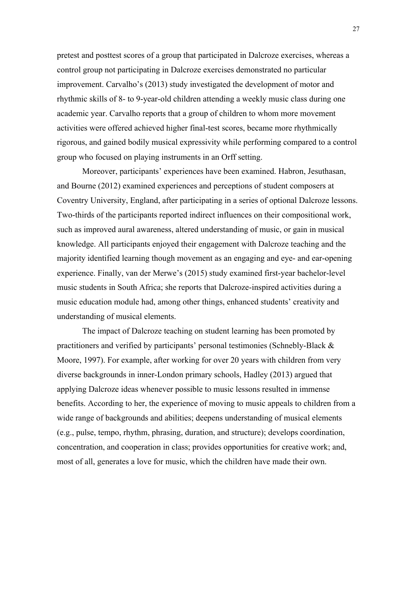pretest and posttest scores of a group that participated in Dalcroze exercises, whereas a control group not participating in Dalcroze exercises demonstrated no particular improvement. Carvalho's (2013) study investigated the development of motor and rhythmic skills of 8- to 9-year-old children attending a weekly music class during one academic year. Carvalho reports that a group of children to whom more movement activities were offered achieved higher final-test scores, became more rhythmically rigorous, and gained bodily musical expressivity while performing compared to a control group who focused on playing instruments in an Orff setting.

Moreover, participants' experiences have been examined. Habron, Jesuthasan, and Bourne (2012) examined experiences and perceptions of student composers at Coventry University, England, after participating in a series of optional Dalcroze lessons. Two-thirds of the participants reported indirect influences on their compositional work, such as improved aural awareness, altered understanding of music, or gain in musical knowledge. All participants enjoyed their engagement with Dalcroze teaching and the majority identified learning though movement as an engaging and eye- and ear-opening experience. Finally, van der Merwe's (2015) study examined first-year bachelor-level music students in South Africa; she reports that Dalcroze-inspired activities during a music education module had, among other things, enhanced students' creativity and understanding of musical elements.

The impact of Dalcroze teaching on student learning has been promoted by practitioners and verified by participants' personal testimonies (Schnebly-Black & Moore, 1997). For example, after working for over 20 years with children from very diverse backgrounds in inner-London primary schools, Hadley (2013) argued that applying Dalcroze ideas whenever possible to music lessons resulted in immense benefits. According to her, the experience of moving to music appeals to children from a wide range of backgrounds and abilities; deepens understanding of musical elements (e.g., pulse, tempo, rhythm, phrasing, duration, and structure); develops coordination, concentration, and cooperation in class; provides opportunities for creative work; and, most of all, generates a love for music, which the children have made their own.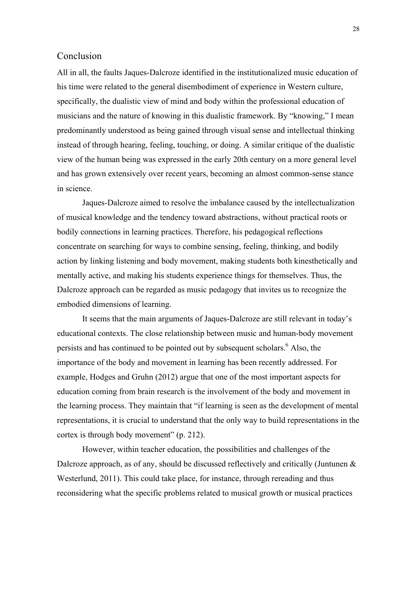### Conclusion

All in all, the faults Jaques-Dalcroze identified in the institutionalized music education of his time were related to the general disembodiment of experience in Western culture, specifically, the dualistic view of mind and body within the professional education of musicians and the nature of knowing in this dualistic framework. By "knowing," I mean predominantly understood as being gained through visual sense and intellectual thinking instead of through hearing, feeling, touching, or doing. A similar critique of the dualistic view of the human being was expressed in the early 20th century on a more general level and has grown extensively over recent years, becoming an almost common-sense stance in science.

Jaques-Dalcroze aimed to resolve the imbalance caused by the intellectualization of musical knowledge and the tendency toward abstractions, without practical roots or bodily connections in learning practices. Therefore, his pedagogical reflections concentrate on searching for ways to combine sensing, feeling, thinking, and bodily action by linking listening and body movement, making students both kinesthetically and mentally active, and making his students experience things for themselves. Thus, the Dalcroze approach can be regarded as music pedagogy that invites us to recognize the embodied dimensions of learning.

It seems that the main arguments of Jaques-Dalcroze are still relevant in today's educational contexts. The close relationship between music and human-body movement persists and has continued to be pointed out by subsequent scholars.<sup>6</sup> Also, the importance of the body and movement in learning has been recently addressed. For example, Hodges and Gruhn (2012) argue that one of the most important aspects for education coming from brain research is the involvement of the body and movement in the learning process. They maintain that "if learning is seen as the development of mental representations, it is crucial to understand that the only way to build representations in the cortex is through body movement" (p. 212).

However, within teacher education, the possibilities and challenges of the Dalcroze approach, as of any, should be discussed reflectively and critically (Juntunen & Westerlund, 2011). This could take place, for instance, through rereading and thus reconsidering what the specific problems related to musical growth or musical practices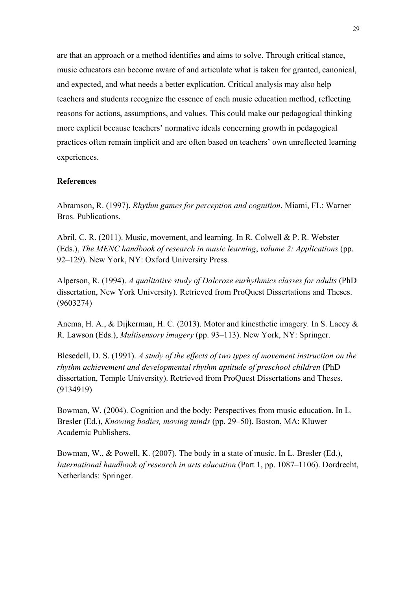are that an approach or a method identifies and aims to solve. Through critical stance, music educators can become aware of and articulate what is taken for granted, canonical, and expected, and what needs a better explication. Critical analysis may also help teachers and students recognize the essence of each music education method, reflecting reasons for actions, assumptions, and values. This could make our pedagogical thinking more explicit because teachers' normative ideals concerning growth in pedagogical practices often remain implicit and are often based on teachers' own unreflected learning experiences.

#### **References**

Abramson, R. (1997). *Rhythm games for perception and cognition*. Miami, FL: Warner Bros. Publications.

Abril, C. R. (2011). Music, movement, and learning. In R. Colwell & P. R. Webster (Eds.), *The MENC handbook of research in music learning*, *volume 2: Applications* (pp. 92–129). New York, NY: Oxford University Press.

Alperson, R. (1994). *A qualitative study of Dalcroze eurhythmics classes for adults* (PhD dissertation, New York University). Retrieved from ProQuest Dissertations and Theses. (9603274)

Anema, H. A., & Dijkerman, H. C. (2013). Motor and kinesthetic imagery*.* In S. Lacey & R. Lawson (Eds.), *Multisensory imagery* (pp. 93–113). New York, NY: Springer.

Blesedell, D. S. (1991). *A study of the effects of two types of movement instruction on the rhythm achievement and developmental rhythm aptitude of preschool children* (PhD dissertation, Temple University). Retrieved from ProQuest Dissertations and Theses. (9134919)

Bowman, W. (2004). Cognition and the body: Perspectives from music education. In L. Bresler (Ed.), *Knowing bodies, moving minds* (pp. 29–50). Boston, MA: Kluwer Academic Publishers.

Bowman, W., & Powell, K. (2007). The body in a state of music. In L. Bresler (Ed.), *International handbook of research in arts education* (Part 1, pp. 1087–1106). Dordrecht, Netherlands: Springer.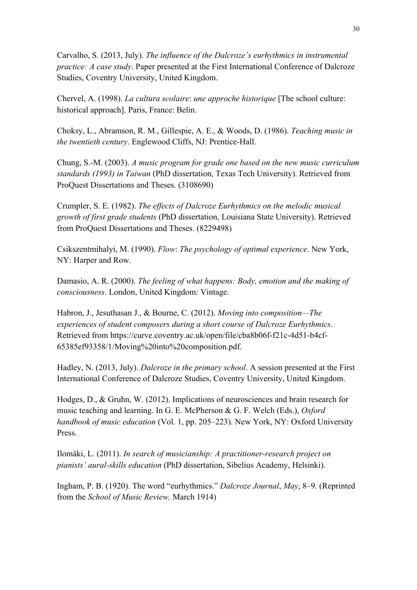Carvalho, S. (2013, July). *The influence of the Dalcroze's eurhythmics in instrumental practice: A case study*. Paper presented at the First International Conference of Dalcroze Studies, Coventry University, United Kingdom.

Chervel, A. (1998). *La cultura scolaire*: *une approche historique* [The school culture: historical approach]. Paris, France: Belin.

Choksy, L., Abramson, R. M., Gillespie, A. E., & Woods, D. (1986). *Teaching music in the twentieth century*. Englewood Cliffs, NJ: Prentice-Hall.

Chung, S.-M. (2003). *A music program for grade one based on the new music curriculum standards (1993) in Taiwan* (PhD dissertation, Texas Tech University). Retrieved from ProQuest Dissertations and Theses. (3108690)

Crumpler, S. E. (1982). *The effects of Dalcroze Eurhythmics on the melodic musical growth of first grade students* (PhD dissertation, Louisiana State University). Retrieved from ProQuest Dissertations and Theses. (8229498)

Csikszentmihalyi, M. (1990). *Flow*: *The psychology of optimal experience*. New York, NY: Harper and Row.

Damasio, A. R. (2000). *The feeling of what happens: Body, emotion and the making of consciousness*. London, United Kingdom: Vintage.

Habron, J., Jesuthasan J., & Bourne, C. (2012). *Moving into composition—The experiences of student composers during a short course of Dalcroze Eurhythmics*. Retrieved from https://curve.coventry.ac.uk/open/file/cba8b06f-f21c-4d51-b4cf-65385ef93358/1/Moving%20into%20composition.pdf.

Hadley, N. (2013, July). *Dalcroze in the primary school*. A session presented at the First International Conference of Dalcroze Studies, Coventry University, United Kingdom.

Hodges, D., & Gruhn, W. (2012). Implications of neurosciences and brain research for music teaching and learning. In G. E. McPherson & G. F. Welch (Eds.), *Oxford handbook of music education* (Vol. 1, pp. 205–223). New York, NY: Oxford University Press.

Ilomäki, L. (2011). *In search of musicianship: A practitioner-research project on pianists' aural-skills education* (PhD dissertation, Sibelius Academy, Helsinki).

Ingham, P. B. (1920). The word "eurhythmics." *Dalcroze Journal*, *May*, 8–9. (Reprinted from the *School of Music Review,* March 1914)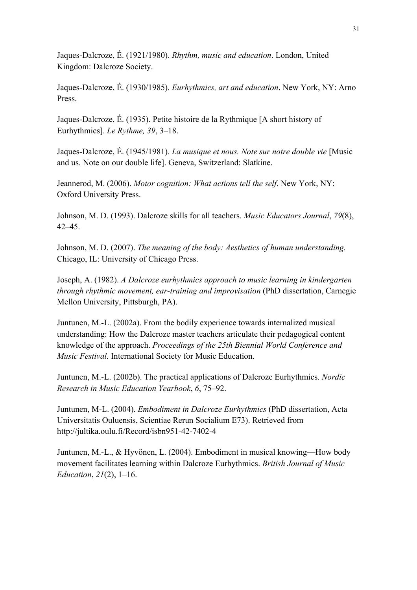Jaques-Dalcroze, É. (1921/1980). *Rhythm, music and education*. London, United Kingdom: Dalcroze Society.

Jaques-Dalcroze, É. (1930/1985). *Eurhythmics, art and education*. New York, NY: Arno Press.

Jaques-Dalcroze, É. (1935). Petite histoire de la Rythmique [A short history of Eurhythmics]. *Le Rythme, 39*, 3–18.

Jaques-Dalcroze, É. (1945/1981). *La musique et nous. Note sur notre double vie* [Music and us. Note on our double life]. Geneva, Switzerland: Slatkine.

Jeannerod, M. (2006). *Motor cognition: What actions tell the self*. New York, NY: Oxford University Press.

Johnson, M. D. (1993). Dalcroze skills for all teachers. *Music Educators Journal*, *79*(8), 42–45.

Johnson, M. D. (2007). *The meaning of the body: Aesthetics of human understanding.* Chicago, IL: University of Chicago Press.

Joseph, A. (1982). *A Dalcroze eurhythmics approach to music learning in kindergarten through rhythmic movement, ear-training and improvisation* (PhD dissertation, Carnegie Mellon University, Pittsburgh, PA).

Juntunen, M.-L. (2002a). From the bodily experience towards internalized musical understanding: How the Dalcroze master teachers articulate their pedagogical content knowledge of the approach. *Proceedings of the 25th Biennial World Conference and Music Festival.* International Society for Music Education.

Juntunen, M.-L. (2002b). The practical applications of Dalcroze Eurhythmics. *Nordic Research in Music Education Yearbook*, *6*, 75–92.

Juntunen, M-L. (2004). *Embodiment in Dalcroze Eurhythmics* (PhD dissertation, Acta Universitatis Ouluensis, Scientiae Rerun Socialium E73). Retrieved from http://jultika.oulu.fi/Record/isbn951-42-7402-4

Juntunen, M.-L., & Hyvönen, L. (2004). Embodiment in musical knowing—How body movement facilitates learning within Dalcroze Eurhythmics. *British Journal of Music Education*, *21*(2), 1–16.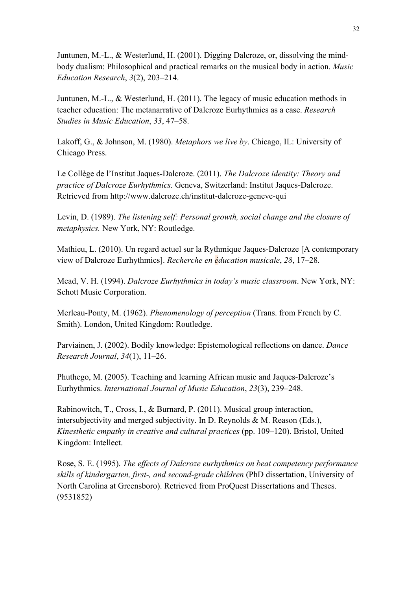Juntunen, M.-L., & Westerlund, H. (2001). Digging Dalcroze, or, dissolving the mindbody dualism: Philosophical and practical remarks on the musical body in action. *Music Education Research*, *3*(2), 203–214.

Juntunen, M.-L., & Westerlund, H. (2011). The legacy of music education methods in teacher education: The metanarrative of Dalcroze Eurhythmics as a case. *Research Studies in Music Education*, *33*, 47–58.

Lakoff, G., & Johnson, M. (1980). *Metaphors we live by*. Chicago, IL: University of Chicago Press.

Le Collège de l'Institut Jaques-Dalcroze. (2011). *The Dalcroze identity: Theory and practice of Dalcroze Eurhythmics.* Geneva, Switzerland: Institut Jaques-Dalcroze. Retrieved from http://www.dalcroze.ch/institut-dalcroze-geneve-qui

Levin, D. (1989). *The listening self: Personal growth, social change and the closure of metaphysics.* New York, NY: Routledge.

Mathieu, L. (2010). Un regard actuel sur la Rythmique Jaques-Dalcroze [A contemporary view of Dalcroze Eurhythmics]. *Recherche en éducation musicale*, *28*, 17–28.

Mead, V. H. (1994). *Dalcroze Eurhythmics in today's music classroom*. New York, NY: Schott Music Corporation.

Merleau-Ponty, M. (1962). *Phenomenology of perception* (Trans. from French by C. Smith). London, United Kingdom: Routledge.

Parviainen, J. (2002). Bodily knowledge: Epistemological reflections on dance. *Dance Research Journal*, *34*(1), 11–26.

Phuthego, M. (2005). Teaching and learning African music and Jaques-Dalcroze's Eurhythmics. *International Journal of Music Education*, *23*(3), 239–248.

Rabinowitch, T., Cross, I., & Burnard, P. (2011). Musical group interaction, intersubjectivity and merged subjectivity. In D. Reynolds & M. Reason (Eds.), *Kinesthetic empathy in creative and cultural practices* (pp. 109–120). Bristol, United Kingdom: Intellect.

Rose, S. E. (1995). *The effects of Dalcroze eurhythmics on beat competency performance skills of kindergarten, first-, and second-grade children* (PhD dissertation, University of North Carolina at Greensboro). Retrieved from ProQuest Dissertations and Theses. (9531852)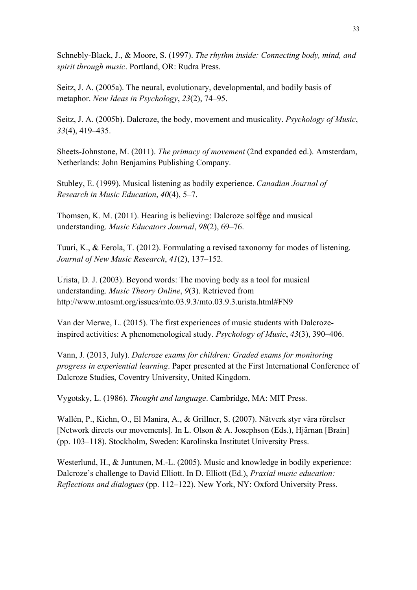Schnebly-Black, J., & Moore, S. (1997). *The rhythm inside: Connecting body, mind, and spirit through music*. Portland, OR: Rudra Press.

Seitz, J. A. (2005a). The neural, evolutionary, developmental, and bodily basis of metaphor. *New Ideas in Psychology*, *23*(2), 74–95.

Seitz, J. A. (2005b). Dalcroze, the body, movement and musicality. *Psychology of Music*, *33*(4), 419–435.

Sheets-Johnstone, M. (2011). *The primacy of movement* (2nd expanded ed.). Amsterdam, Netherlands: John Benjamins Publishing Company.

Stubley, E. (1999). Musical listening as bodily experience. *Canadian Journal of Research in Music Education*, *40*(4), 5–7.

Thomsen, K. M. (2011). Hearing is believing: Dalcroze solfège and musical understanding. *Music Educators Journal*, *98*(2), 69–76.

Tuuri, K., & Eerola, T. (2012). Formulating a revised taxonomy for modes of listening. *Journal of New Music Research*, *41*(2), 137–152.

Urista, D. J. (2003). Beyond words: The moving body as a tool for musical understanding. *Music Theory Online*, *9*(3). Retrieved from http://www.mtosmt.org/issues/mto.03.9.3/mto.03.9.3.urista.html#FN9

Van der Merwe, L. (2015). The first experiences of music students with Dalcrozeinspired activities: A phenomenological study. *Psychology of Music*, *43*(3), 390–406.

Vann, J. (2013, July). *Dalcroze exams for children: Graded exams for monitoring progress in experiential learning*. Paper presented at the First International Conference of Dalcroze Studies, Coventry University, United Kingdom.

Vygotsky, L. (1986). *Thought and language*. Cambridge, MA: MIT Press.

Wallén, P., Kiehn, O., El Manira, A., & Grillner, S. (2007). Nätverk styr våra rörelser [Network directs our movements]. In L. Olson & A. Josephson (Eds.), Hjärnan [Brain] (pp. 103–118). Stockholm, Sweden: Karolinska Institutet University Press.

Westerlund, H., & Juntunen, M.-L. (2005). Music and knowledge in bodily experience: Dalcroze's challenge to David Elliott. In D. Elliott (Ed.), *Praxial music education: Reflections and dialogues* (pp. 112–122). New York, NY: Oxford University Press.